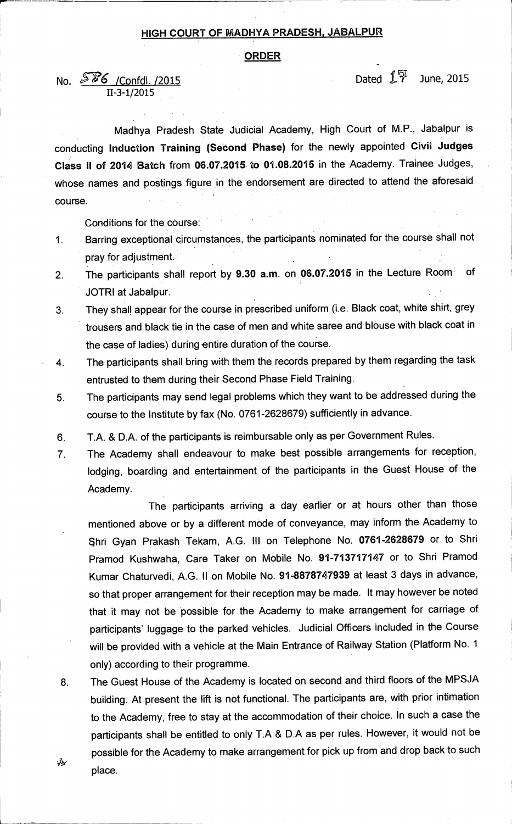## **HIGH COURT OF MADHYA PRADESH, JABALPUR**

## **ORDER**

**11-3-1/2015** 

## **No.** 5**86** /Confdl. /2015 **Dated 17** June, 2015

**Madhya Pradesh State Judicial Academy, High Court of M.P., Jabalpur is conducting Induction Training (Second Phase) for the newly appointed Civil Judges Class II of 2014 Batch from 06.07.2015. to 01.08.2015 in the Academy. Trainee Judges, whose names and postings figure in the endorsement are directed to attend the aforesaid course.** 

**Conditions for the course:** 

**1 Barring exceptional circumstances, the participants nominated for the course shall not pray for adjustment.** 

- **2. The participants shall report by 9.30 a.m. on 06.07.2015 in the Lecture Room' of JOTRI at Jabalpur.**
- **3. They shall appear for the course in prescribed uniform (i.e. Black coat, white shirt, grey trousers and black tie in the case of men and white saree and blouse with black coat in the case of ladies) during entire duration of the course.**
- **4. The participants shall bring with them the records prepared by them regarding the task entrusted to them during their Second Phase Field Training.**
- **5. The participants may send legal problems which they want to be addressed during the course to the Institute by fax (No. 0761-2628679) sufficiently in advance.**
- **6. T.A. & D.A. of the participants is reimbursable only as per Government Rules.**
- **7. The Academy shall endeavour to make best possible arrangements for reception, lodging, boarding and entertainment of the participants in the Guest House of the Academy.**

**The participants arriving a day earlier or at hours other than those mentioned above or by a different mode of conveyance, may inform the Academy to**  hri **Gyan Prakash Tekam, A.G. III on Telephone No. 0761-2628679 or to Shri Pramod Kushwaha, Care Taker on Mobile No. 91-713717147 or to Shri Pramod Kumar Chaturvedi, A.G. II on Mobile No. 91-8878747939 at least 3 days in advance, so that proper arrangement for their reception may be made. It may however be noted that it may not be 'possible for the Academy to make arrangement for carriage of participants' luggage to the parked vehicles. Judicial Officers included in the Course will be provided with a vehicle at the Main Entrance of Railway Station (Plafform No. 1 only) according to their programme.** 

**8. The Guest House of the Academy is located on second and third floors of the MPSJA building. At present the lift is not functional. The participants are, with prior intimation to the Academy, free to stay at the accommodation of their choice. In such a case the participants shall be entitled to only T.A & D.A as per rules. However, it would not be possible for the Academy to make arrangement for pick up from and drop back to such place.** 

₩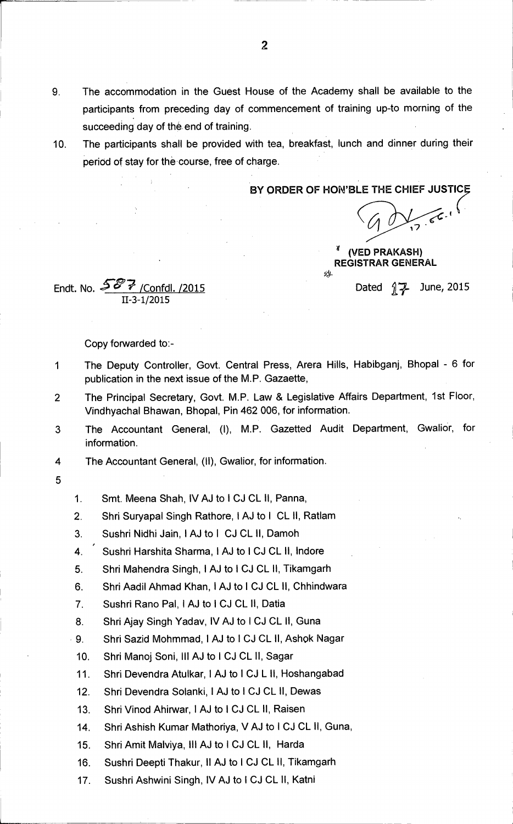- 9. The accommodation in the Guest House of the Academy shall be available to the participants from preceding day of commencement of training up-to morning of the succeeding day of the end of training.
- 10. The participants shall be provided with tea, breakfast, lunch and dinner during their period of stay for the course, free of charge.

**BY ORDER OF HON'BLE THE CHIEF JUSTICE** 

**<sup>4</sup>(VED PRAKASH) REGISTRAR GENERAL** 

Endt. No.  $\frac{56\%}{7}$  /Confdl. /2015 11-3-1/2015

Copy forwarded to:-

- 1 The Deputy Controller, Govt. Central Press, Arera Hills, Habibganj, Bhopal 6 for publication in the next issue of the M.P. Gazaette,
- 2 The Principal Secretary, Govt. M.P. Law & Legislative Affairs Department, 1st Floor, Vindhyachal Bhawan, Bhopal, Pin 462 006, for information.
- 3 The Accountant General, (I), M.P. Gazetted Audit Department, Gwalior, for information.
- 4 The Accountant General, (II), Gwalior, for information.
- 5
- 1. Smt. Meena Shah, IV AJ to I CJ CL II, Panna,
- 2. Shri Suryapal Singh Rathore, I AJ to I CL II, Ratlam
- 3. Sushri Nidhi Jain, I AJ to I CJ CL II, Damoh
- 4. Sushri Harshita Sharma, I AJ to I CJ CL II, Indore
- 5. Shri Mahendra Singh, I AJ to I CJ CL II, Tikamgarh
- 6. Shri Aadil Ahmad Khan, I AJ to I CJ CL II, Chhindwara
- 7. Sushri Rano Pal, I AJ to I CJ CL II, Datia
- 8. Shri Ajay Singh Yadav, IV AJ to I CJ CL II, Guna
- 9. Shri Sazid Mohmmad, I AJ to I CJ CL II, Ashok Nagar
- 10. Shri Manoj Soni, Ill AJ to I CJ CL II, Sagar
- 11. Shri Devendra Atulkar, I AJ to I CJ L II, Hoshangabad
- 12. Shri Devendra Solanki, I AJ to I CJ CL II, Dewas
- 13. Shri Vinod Ahirwar, I AJ to **I** CJ CL II, Raisen
- 14. Shri Ashish Kumar Mathoriya, V AJ to I CJ CL II, Guna,
- 15. Shri Amit Malviya, Ill AJ to I CJ CL II, Harda
- 16. Sushri Deepti Thakur, II AJ to I CJ CL II, Tikamgarh
- 17. Sushri Ashwini Singh, IV AJ to I CJ CL II, Katni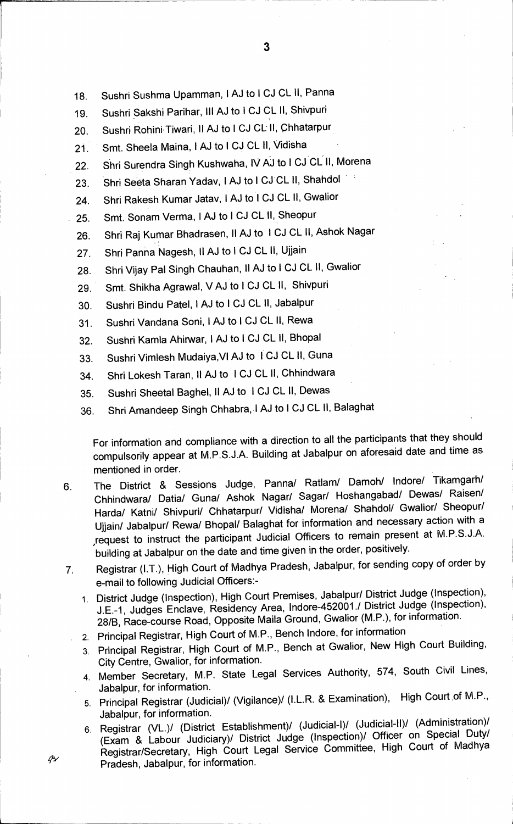- **18. Sushri Sushma Upamman, I AJ to 1 CJ CL 11, Panna**
- **19. Sushri Sakshi Parihar, Ill AJ to I CJ CL II, Shivpuri**
- **20. Sushri Rohini•Tiwari, II AJ to I CJ CL II, Qhhatarpur**
- **21. Smt. Sheela Maina, 1 AJ to 1 CJ CL II, Vidisha**
- **22.'Shri Surendra Singh Kushwaha, IV AJ to 1 CJ CL II, Morena**
- **23. Shri Seeta Sharan Yadav, I AJ to 1 CJ CL II, Shahdol**
- 24. Shri Rakesh Kumar Jatav, I AJ to I CJ CL II, Gwalior
- **25. Smt. Sonam Verma, I AJ to 1 CJ CL II, Sheopur**
- **26. Shri Raj Kumar Bhadrasen, II AJ to I CJ CL II, Ashok Nagar**
- **27. Shri Panna Nagesh, II AJ to 1 CJ CL II, Ujjain**
- **28. Shri Vijay Pal Singh Chauhan, II AJ to I CJ CL II, Gwalior**
- **29. Smt. Shikha Agrawal, V AJ to I CJ CL 11, Shivpuri**
- **30. Sushri Bindu Patel, 1 AJ to I CJ CL II, Jabalpur**
- **31. Sushri Vandana Soni, IAJ to I CJ CL II, Rewa**
- **32. Sushri Kamla Ahirwar, 1 AJ to 1 CJ CL II, Bhopal**
- **33. Sushri Vimlesh Mudaiya,VI AJ to ICJ CL 11, Guna**
- **34. Shri Lokesh Taran, II AJ to ICJ CL II, Chhindwara**
- **35. Sushri Sheetal Baghel, II AJ to ICJ CL II, Dewas**
- **36. Shri Amandeep Singh Chhabra, I AJ to 1 CJ CL II, Balaghat**

**For information and compliance with a direction to all the participants that they should compulsorily appear at M.P.S.J.A. Building at Jabalpur on aforesaid date and time as mentioned in order.** 

- **6. The District & Sessions Judge, Panna/ Ratlam/ Damoh/ Indore/ Tikamgarh/ Chhindwara/ Datia/ Guna/ Ashok Nagar/ Sagan/ Hoshangabad/ Dewas/ Raisen/ Harda/ Katni/ Shivpuri/ Chhatarpur/ Vidisha/ Morena/ Shahdol/ Gwalior/ Sheopur/ Ujjain/ Jabalpur/ Rewa/ Bhopal/ Balaghat for information and necessary action with a request to instruct the participant Judicial Officers to remain present at M.P.S.J.A. building at Jabalpur on the date and time given in the order, positively.**
- **7. Registrar (I.T.), High Court of Madhya Pradesh, Jabalpur, for sending copy of order by e-mail to following Judicial Officers:-** 
	- **1. District Judge (Inspection), High Court Premises, Jabalpur/ District Judge (Inspection), J.E.-1, Judges Enclave, Residency Area, Indore-452001.1 District Judge (Inspection), 28/B, Race-course Road, Opposite Maila Ground, Gwalior (M.P.), for information.**
	- . 2. **Principal Registrar, High Court of M.P., Bench Indore, for information**
	- **3. Principal Registrar, High Court of M.P., Bench at Gwalior, New High Court Building, City Centre, Gwalior, for information.**
	- **4. Member Secretary, M.P. State Legal Services Authority, 574, South Civil Lines, Jabalpur, for information.**
	- **5. Principal Registrar (Judicial)/ (Vigilance)/ (I.L.R. & Examination), High Court ,of M.P., Jabalpur, for information.**
- **6. Registrar (VL.)/ (District Establishment)/ (Judicial-I)/ (Judicial-II)! (Administration)/ (Exam & Labour Judiciary)/ District Judge (Inspection)/ Officer on Special Duty/ Registrar/Secretary, High Court Legal Service Committee, High Court of Madhya 4'N• Pradesh, Jabalpur, for information.**